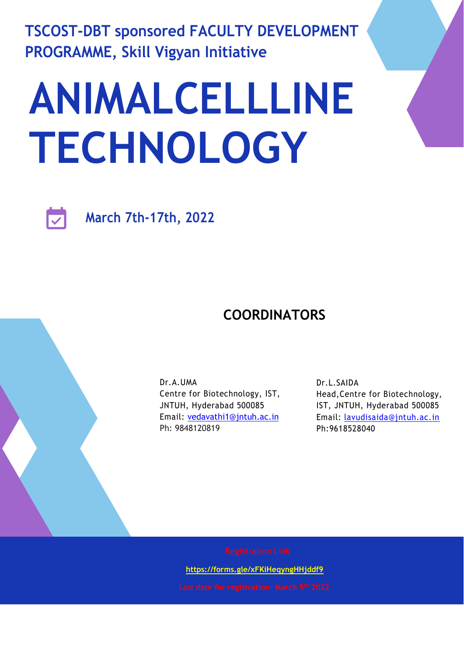**TSCOST-DBT sponsored FACULTY DEVELOPMENT PROGRAMME, Skill Vigyan Initiative**

# **ANIMALCELLLINE TECHNOLOGY**



**March 7th-17th, 2022**

## **COORDINATORS**

Dr.A.UMA Centre for Biotechnology, IST, JNTUH, Hyderabad 500085 Email: [vedavathi1@jntuh.ac.in](mailto:vedavathi1@jntuh.ac.in) Ph: 9848120819

Dr.L.SAIDA Head,Centre for Biotechnology, IST, JNTUH, Hyderabad 500085 Email: [lavudisaida@jntuh.ac.in](mailto:lavudisaida@jntuh.ac.in) Ph:9618528040

 **<https://forms.gle/xFKiHeqyngHHjddf9>**